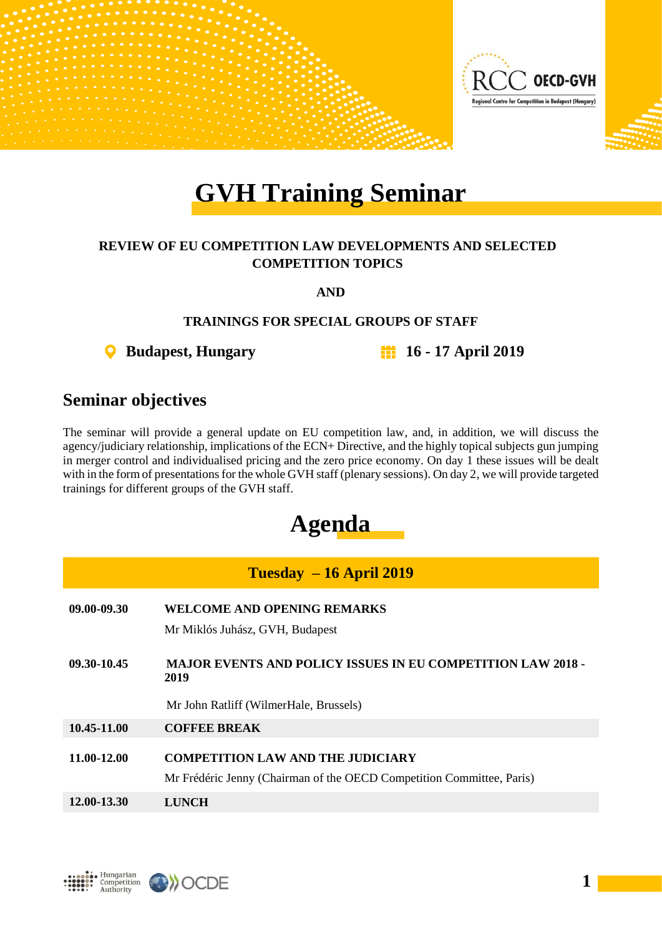

# **GVH Training Seminar**

### **REVIEW OF EU COMPETITION LAW DEVELOPMENTS AND SELECTED COMPETITION TOPICS**

**AND**

### **TRAININGS FOR SPECIAL GROUPS OF STAFF**

**Budapest, Hungary 16 - 17 April 2019**

### **Seminar objectives**

The seminar will provide a general update on EU competition law, and, in addition, we will discuss the agency/judiciary relationship, implications of the ECN+ Directive, and the highly topical subjects gun jumping in merger control and individualised pricing and the zero price economy. On day 1 these issues will be dealt with in the form of presentations for the whole GVH staff (plenary sessions). On day 2, we will provide targeted trainings for different groups of the GVH staff.

## **Agenda**

| $Tuesday - 16 April 2019$ |                                                                                                                   |  |  |  |  |  |  |
|---------------------------|-------------------------------------------------------------------------------------------------------------------|--|--|--|--|--|--|
| 09.00-09.30               | WELCOME AND OPENING REMARKS                                                                                       |  |  |  |  |  |  |
|                           | Mr Miklós Juhász, GVH, Budapest                                                                                   |  |  |  |  |  |  |
| 09.30-10.45               | <b>MAJOR EVENTS AND POLICY ISSUES IN EU COMPETITION LAW 2018 -</b><br>2019                                        |  |  |  |  |  |  |
|                           | Mr John Ratliff (WilmerHale, Brussels)                                                                            |  |  |  |  |  |  |
| 10.45-11.00               | <b>COFFEE BREAK</b>                                                                                               |  |  |  |  |  |  |
| 11.00-12.00               | <b>COMPETITION LAW AND THE JUDICIARY</b><br>Mr Frédéric Jenny (Chairman of the OECD Competition Committee, Paris) |  |  |  |  |  |  |
| 12.00-13.30               | LUNCH                                                                                                             |  |  |  |  |  |  |



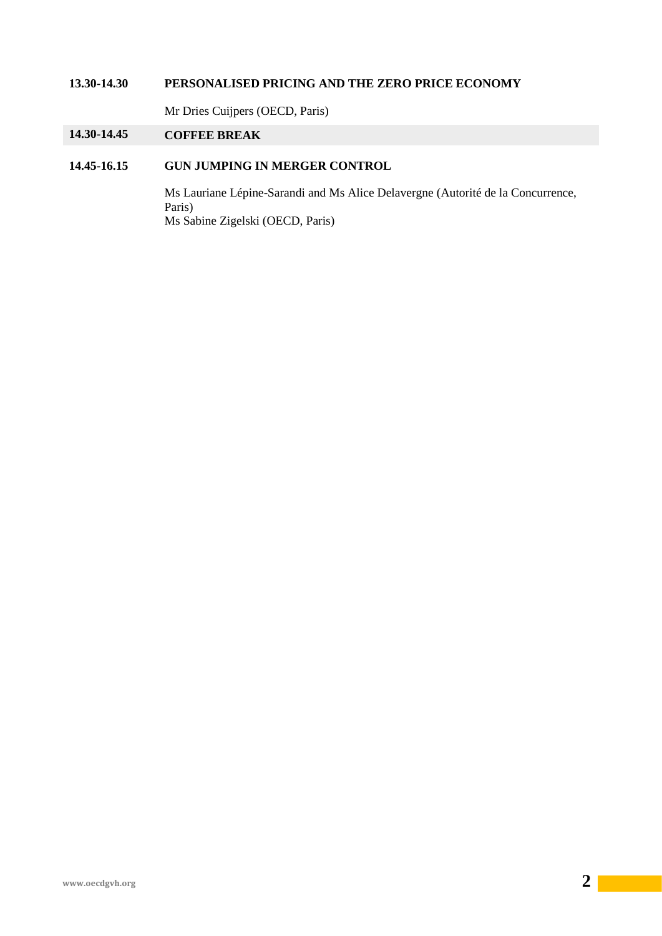#### **13.30-14.30 PERSONALISED PRICING AND THE ZERO PRICE ECONOMY**

Mr Dries Cuijpers (OECD, Paris)

### **14.30-14.45 COFFEE BREAK**

### **14.45-16.15 GUN JUMPING IN MERGER CONTROL**

Ms Lauriane Lépine-Sarandi and Ms Alice Delavergne (Autorité de la Concurrence, Paris) Ms Sabine Zigelski (OECD, Paris)